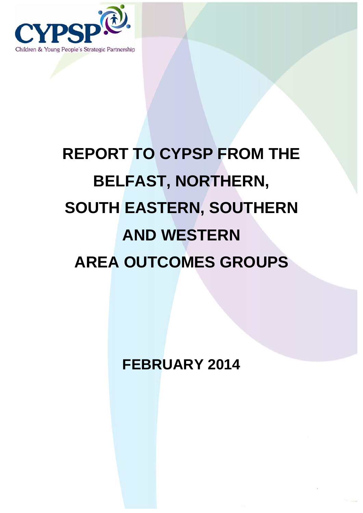

# **REPORT TO CYPSP FROM THE BELFAST, NORTHERN, SOUTH EASTERN, SOUTHERN AND WESTERN AREA OUTCOMES GROUPS**

**FEBRUARY 2014**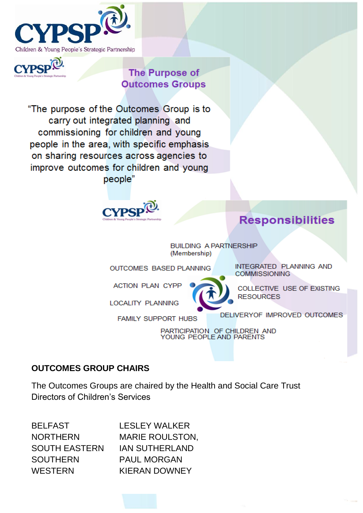



#### **The Purpose of Outcomes Groups**

"The purpose of the Outcomes Group is to carry out integrated planning and commissioning for children and young people in the area, with specific emphasis on sharing resources across agencies to improve outcomes for children and young people"



#### **Responsibilities**

**BUILDING A PARTNERSHIP** (Membership)

**OUTCOMES BASED PLANNING** 

**FAMILY SUPPORT HUBS** 

ACTION PLAN CYPP

**LOCALITY PLANNING** 

**COMMISSIONING** 

INTEGRATED PLANNING AND

COLLECTIVE USE OF EXISTING **RESOURCES** 

DELIVERYOF IMPROVED OUTCOMES

PARTICIPATION OF CHILDREN AND<br>YOUNG PEOPLE AND PARENTS

#### **OUTCOMES GROUP CHAIRS**

The Outcomes Groups are chaired by the Health and Social Care Trust Directors of Children's Services

BELFAST LESLEY WALKER SOUTH EASTERN IAN SUTHERLAND SOUTHERN PAUL MORGAN WESTERN **KIERAN DOWNEY** 

NORTHERN MARIE ROULSTON,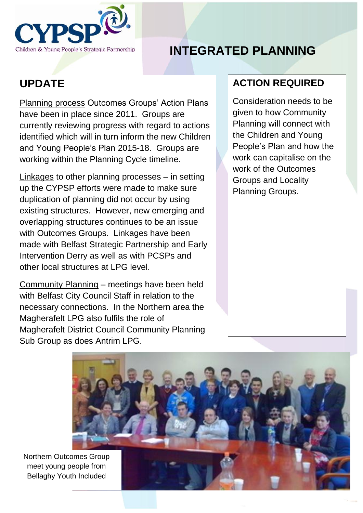

# **INTEGRATED PLANNING**

## **UPDATE**

Planning process Outcomes Groups' Action Plans have been in place since 2011. Groups are currently reviewing progress with regard to actions identified which will in turn inform the new Children and Young People's Plan 2015-18. Groups are working within the Planning Cycle timeline.

Linkages to other planning processes – in setting up the CYPSP efforts were made to make sure duplication of planning did not occur by using existing structures. However, new emerging and overlapping structures continues to be an issue with Outcomes Groups. Linkages have been made with Belfast Strategic Partnership and Early Intervention Derry as well as with PCSPs and other local structures at LPG level.

Community Planning – meetings have been held with Belfast City Council Staff in relation to the necessary connections. In the Northern area the Magherafelt LPG also fulfils the role of Magherafelt District Council Community Planning Sub Group as does Antrim LPG.

#### **ACTION REQUIRED**

Consideration needs to be given to how Community Planning will connect with the Children and Young People's Plan and how the work can capitalise on the work of the Outcomes Groups and Locality Planning Groups.



Northern Outcomes Group meet young people from Bellaghy Youth Included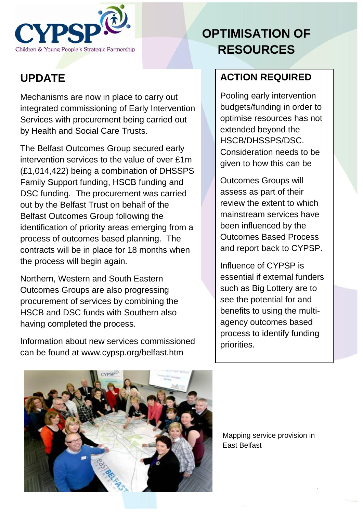

# **OPTIMISATION OF RESOURCES**

## **UPDATE**

Mechanisms are now in place to carry out integrated commissioning of Early Intervention Services with procurement being carried out by Health and Social Care Trusts.

The Belfast Outcomes Group secured early intervention services to the value of over £1m (£1,014,422) being a combination of DHSSPS Family Support funding, HSCB funding and DSC funding. The procurement was carried out by the Belfast Trust on behalf of the Belfast Outcomes Group following the identification of priority areas emerging from a process of outcomes based planning. The contracts will be in place for 18 months when the process will begin again.

Northern, Western and South Eastern Outcomes Groups are also progressing procurement of services by combining the HSCB and DSC funds with Southern also having completed the process.

Information about new services commissioned can be found at www.cypsp.org/belfast.htm

#### **ACTION REQUIRED**

Pooling early intervention budgets/funding in order to optimise resources has not extended beyond the HSCB/DHSSPS/DSC. Consideration needs to be given to how this can be

Outcomes Groups will assess as part of their review the extent to which mainstream services have been influenced by the Outcomes Based Process and report back to CYPSP.

Influence of CYPSP is essential if external funders such as Big Lottery are to see the potential for and benefits to using the multiagency outcomes based process to identify funding priorities.



Mapping service provision in East Belfast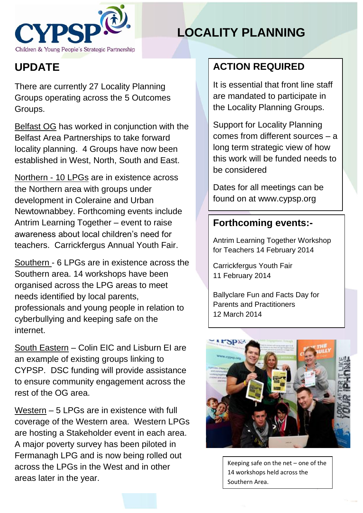

# **LOCALITY PLANNING**

# **UPDATE**

There are currently 27 Locality Planning Groups operating across the 5 Outcomes Groups.

Belfast OG has worked in conjunction with the Belfast Area Partnerships to take forward locality planning. 4 Groups have now been established in West, North, South and East.

Northern - 10 LPGs are in existence across the Northern area with groups under development in Coleraine and Urban Newtownabbey. Forthcoming events include Antrim Learning Together – event to raise awareness about local children's need for teachers. Carrickfergus Annual Youth Fair.

Southern - 6 LPGs are in existence across the Southern area. 14 workshops have been organised across the LPG areas to meet needs identified by local parents, professionals and young people in relation to cyberbullying and keeping safe on the internet.

South Eastern – Colin EIC and Lisburn EI are an example of existing groups linking to CYPSP. DSC funding will provide assistance to ensure community engagement across the rest of the OG area.

Western – 5 LPGs are in existence with full coverage of the Western area. Western LPGs are hosting a Stakeholder event in each area. A major poverty survey has been piloted in Fermanagh LPG and is now being rolled out across the LPGs in the West and in other areas later in the year.

#### **ACTION REQUIRED**

It is essential that front line staff are mandated to participate in the Locality Planning Groups.

Support for Locality Planning comes from different sources – a long term strategic view of how this work will be funded needs to be considered

Dates for all meetings can be found on at www.cypsp.org

#### **Forthcoming events:-**

Antrim Learning Together Workshop for Teachers 14 February 2014

Carrickfergus Youth Fair 11 February 2014

Ballyclare Fun and Facts Day for Parents and Practitioners 12 March 2014



Keeping safe on the net – one of the 14 workshops held across the Southern Area.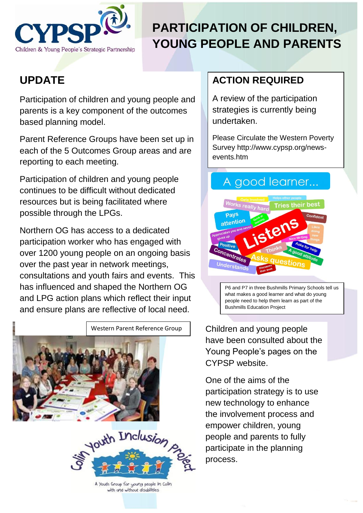

# **PARTICIPATION OF CHILDREN, YOUNG PEOPLE AND PARENTS**

## **UPDATE**

Participation of children and young people and parents is a key component of the outcomes based planning model.

Parent Reference Groups have been set up in each of the 5 Outcomes Group areas and are reporting to each meeting.

Participation of children and young people continues to be difficult without dedicated resources but is being facilitated where possible through the LPGs.

Northern OG has access to a dedicated participation worker who has engaged with over 1200 young people on an ongoing basis over the past year in network meetings, consultations and youth fairs and events. This has influenced and shaped the Northern OG and LPG action plans which reflect their input and ensure plans are reflective of local need.



A Youth Group for young people in Colin with and without disabilities

#### **ACTION REQUIRED**

A review of the participation strategies is currently being undertaken.

Please Circulate the Western Poverty Survey http://www.cypsp.org/newsevents.htm

#### A good learner...



P6 and P7 in three Bushmills Primary Schools tell us what makes a good learner and what do young people need to help them learn as part of the Bushmills Education Project

Children and young people have been consulted about the Young People's pages on the CYPSP website.

One of the aims of the participation strategy is to use new technology to enhance the involvement process and empower children, young people and parents to fully participate in the planning process.